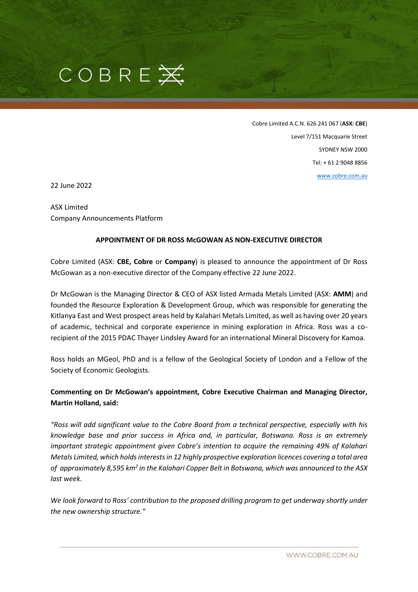

Cobre Limited A.C.N. 626 241 067 (**ASX: CBE**) Level 7/151 Macquarie Street SYDNEY NSW 2000 Tel: + 61 2 9048 8856 [www.cobre.com.au](http://www.cobre.com.au/)

22 June 2022

ASX Limited Company Announcements Platform

#### **APPOINTMENT OF DR ROSS McGOWAN AS NON-EXECUTIVE DIRECTOR**

Cobre Limited (ASX: **CBE, Cobre** or **Company**) is pleased to announce the appointment of Dr Ross McGowan as a non-executive director of the Company effective 22 June 2022.

Dr McGowan is the Managing Director & CEO of ASX listed Armada Metals Limited (ASX: **AMM**) and founded the Resource Exploration & Development Group, which was responsible for generating the Kitlanya East and West prospect areas held by Kalahari Metals Limited, as well as having over 20 years of academic, technical and corporate experience in mining exploration in Africa. Ross was a corecipient of the 2015 PDAC Thayer Lindsley Award for an international Mineral Discovery for Kamoa.

Ross holds an MGeol, PhD and is a fellow of the Geological Society of London and a Fellow of the Society of Economic Geologists.

## **Commenting on Dr McGowan's appointment, Cobre Executive Chairman and Managing Director, Martin Holland, said:**

*"Ross will add significant value to the Cobre Board from a technical perspective, especially with his knowledge base and prior success in Africa and, in particular, Botswana. Ross is an extremely important strategic appointment given Cobre's intention to acquire the remaining 49% of Kalahari Metals Limited, which holds interests in 12 highly prospective exploration licences covering a total area of approximately 8,595 km<sup>2</sup> in the Kalahari Copper Belt in Botswana, which was announced to the ASX last week.*

*We look forward to Ross' contribution to the proposed drilling program to get underway shortly under the new ownership structure."*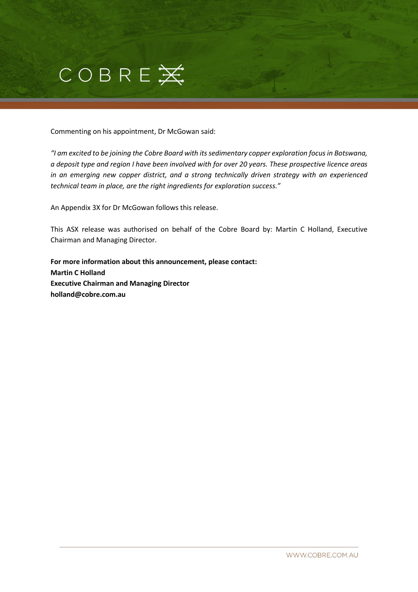

Commenting on his appointment, Dr McGowan said:

*"I am excited to be joining the Cobre Board with its sedimentary copper exploration focus in Botswana, a deposit type and region I have been involved with for over 20 years. These prospective licence areas in an emerging new copper district, and a strong technically driven strategy with an experienced technical team in place, are the right ingredients for exploration success."* 

An Appendix 3X for Dr McGowan follows this release.

This ASX release was authorised on behalf of the Cobre Board by: Martin C Holland, Executive Chairman and Managing Director.

**For more information about this announcement, please contact: Martin C Holland Executive Chairman and Managing Director holland@cobre.com.au**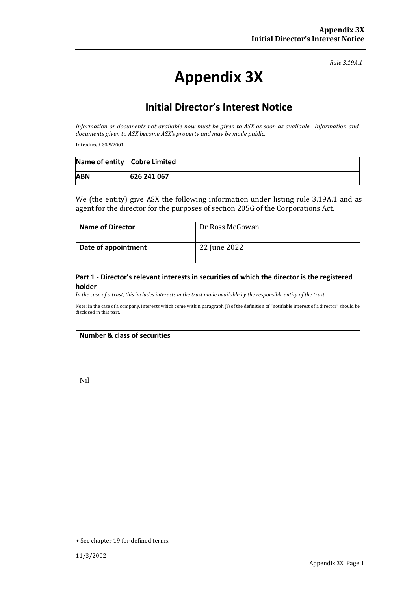*Rule 3.19A.1*

# **Appendix 3X**

# **Initial Director's Interest Notice**

*Information or documents not available now must be given to ASX as soon as available. Information and documents given to ASX become ASX's property and may be made public.*

Introduced 30/9/2001.

| Name of entity Cobre Limited |             |
|------------------------------|-------------|
| <b>ABN</b>                   | 626 241 067 |

We (the entity) give ASX the following information under listing rule 3.19A.1 and as agent for the director for the purposes of section 205G of the Corporations Act.

| <b>Name of Director</b> | Dr Ross McGowan |
|-------------------------|-----------------|
| Date of appointment     | 22 June 2022    |

#### **Part 1 - Director's relevant interests in securities of which the director is the registered holder**

*In the case of a trust, this includes interests in the trust made available by the responsible entity of the trust*

Note: In the case of a company, interests which come within paragraph (i) of the definition of "notifiable interest of a director" should be disclosed in this part.

#### **Number & class of securities**

Nil

<sup>+</sup> See chapter 19 for defined terms.